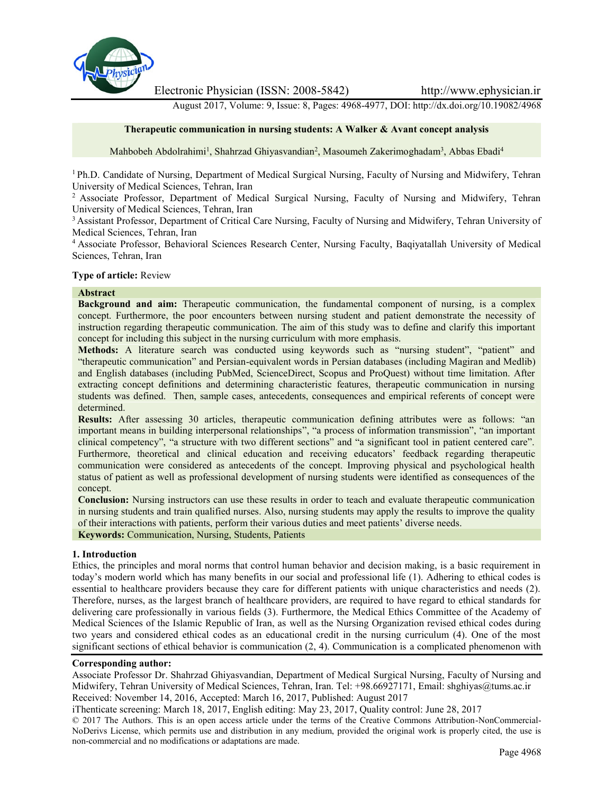

Electronic Physician (ISSN: 2008-5842) http://www.ephysician.ir

August 2017, Volume: 9, Issue: 8, Pages: 4968-4977, DOI: http://dx.doi.org/10.19082/4968

#### **Therapeutic communication in nursing students: A Walker & Avant concept analysis**

Mahbobeh Abdolrahimi<sup>1</sup>, Shahrzad Ghiyasvandian<sup>2</sup>, Masoumeh Zakerimoghadam<sup>3</sup>, Abbas Ebadi<sup>4</sup>

<sup>1</sup> Ph.D. Candidate of Nursing, Department of Medical Surgical Nursing, Faculty of Nursing and Midwifery, Tehran University of Medical Sciences, Tehran, Iran

<sup>2</sup> Associate Professor, Department of Medical Surgical Nursing, Faculty of Nursing and Midwifery, Tehran University of Medical Sciences, Tehran, Iran

<sup>3</sup> Assistant Professor, Department of Critical Care Nursing, Faculty of Nursing and Midwifery, Tehran University of Medical Sciences, Tehran, Iran

<sup>4</sup> Associate Professor, Behavioral Sciences Research Center, Nursing Faculty, Baqiyatallah University of Medical Sciences, Tehran, Iran

#### **Type of article:** Review

### **Abstract**

**Background and aim:** Therapeutic communication, the fundamental component of nursing, is a complex concept. Furthermore, the poor encounters between nursing student and patient demonstrate the necessity of instruction regarding therapeutic communication. The aim of this study was to define and clarify this important concept for including this subject in the nursing curriculum with more emphasis.

**Methods:** A literature search was conducted using keywords such as "nursing student", "patient" and "therapeutic communication" and Persian-equivalent words in Persian databases (including Magiran and Medlib) and English databases (including PubMed, ScienceDirect, Scopus and ProQuest) without time limitation. After extracting concept definitions and determining characteristic features, therapeutic communication in nursing students was defined. Then, sample cases, antecedents, consequences and empirical referents of concept were determined.

**Results:** After assessing 30 articles, therapeutic communication defining attributes were as follows: "an important means in building interpersonal relationships", "a process of information transmission", "an important clinical competency", "a structure with two different sections" and "a significant tool in patient centered care". Furthermore, theoretical and clinical education and receiving educators' feedback regarding therapeutic communication were considered as antecedents of the concept. Improving physical and psychological health status of patient as well as professional development of nursing students were identified as consequences of the concept.

**Conclusion:** Nursing instructors can use these results in order to teach and evaluate therapeutic communication in nursing students and train qualified nurses. Also, nursing students may apply the results to improve the quality of their interactions with patients, perform their various duties and meet patients' diverse needs.

**Keywords:** Communication, Nursing, Students, Patients

#### **1. Introduction**

Ethics, the principles and moral norms that control human behavior and decision making, is a basic requirement in today's modern world which has many benefits in our social and professional life (1). Adhering to ethical codes is essential to healthcare providers because they care for different patients with unique characteristics and needs (2). Therefore, nurses, as the largest branch of healthcare providers, are required to have regard to ethical standards for delivering care professionally in various fields (3). Furthermore, the Medical Ethics Committee of the Academy of Medical Sciences of the Islamic Republic of Iran, as well as the Nursing Organization revised ethical codes during two years and considered ethical codes as an educational credit in the nursing curriculum (4). One of the most significant sections of ethical behavior is communication (2, 4). Communication is a complicated phenomenon with

#### **Corresponding author:**

Associate Professor Dr. Shahrzad Ghiyasvandian, Department of Medical Surgical Nursing, Faculty of Nursing and Midwifery, Tehran University of Medical Sciences, Tehran, Iran. Tel: +98.66927171, Email: shghiyas@tums.ac.ir Received: November 14, 2016, Accepted: March 16, 2017, Published: August 2017

iThenticate screening: March 18, 2017, English editing: May 23, 2017, Quality control: June 28, 2017

© 2017 The Authors. This is an open access article under the terms of the Creative Commons Attribution-NonCommercial- NoDerivs License, which permits use and distribution in any medium, provided the original work is properly cited, the use is non-commercial and no modifications or adaptations are made.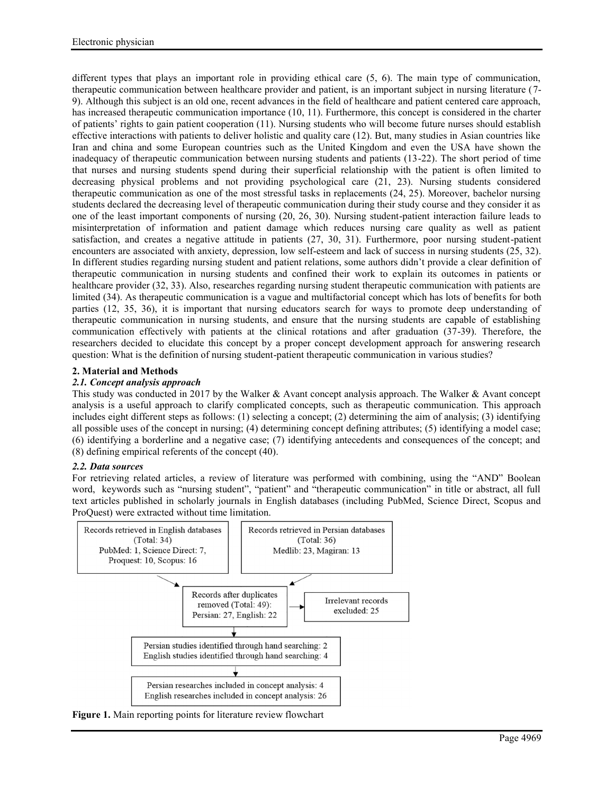different types that plays an important role in providing ethical care (5, 6). The main type of communication, therapeutic communication between healthcare provider and patient, is an important subject in nursing literature (7- 9). Although this subject is an old one, recent advances in the field of healthcare and patient centered care approach, has increased therapeutic communication importance (10, 11). Furthermore, this concept is considered in the charter of patients' rights to gain patient cooperation (11). Nursing students who will become future nurses should establish effective interactions with patients to deliver holistic and quality care (12). But, many studies in Asian countries like Iran and china and some European countries such as the United Kingdom and even the USA have shown the inadequacy of therapeutic communication between nursing students and patients (13-22). The short period of time that nurses and nursing students spend during their superficial relationship with the patient is often limited to decreasing physical problems and not providing psychological care (21, 23). Nursing students considered therapeutic communication as one of the most stressful tasks in replacements (24, 25). Moreover, bachelor nursing students declared the decreasing level of therapeutic communication during their study course and they consider it as one of the least important components of nursing (20, 26, 30). Nursing student-patient interaction failure leads to misinterpretation of information and patient damage which reduces nursing care quality as well as patient satisfaction, and creates a negative attitude in patients (27, 30, 31). Furthermore, poor nursing student-patient encounters are associated with anxiety, depression, low self-esteem and lack of success in nursing students (25, 32). In different studies regarding nursing student and patient relations, some authors didn't provide a clear definition of therapeutic communication in nursing students and confined their work to explain its outcomes in patients or healthcare provider (32, 33). Also, researches regarding nursing student therapeutic communication with patients are limited (34). As therapeutic communication is a vague and multifactorial concept which has lots of benefits for both parties (12, 35, 36), it is important that nursing educators search for ways to promote deep understanding of therapeutic communication in nursing students, and ensure that the nursing students are capable of establishing communication effectively with patients at the clinical rotations and after graduation (37-39). Therefore, the researchers decided to elucidate this concept by a proper concept development approach for answering research question: What is the definition of nursing student-patient therapeutic communication in various studies?

# **2. Material and Methods**

# *2.1. Concept analysis approach*

This study was conducted in 2017 by the Walker & Avant concept analysis approach. The Walker & Avant concept analysis is a useful approach to clarify complicated concepts, such as therapeutic communication. This approach includes eight different steps as follows: (1) selecting a concept; (2) determining the aim of analysis; (3) identifying all possible uses of the concept in nursing; (4) determining concept defining attributes; (5) identifying a model case; (6) identifying a borderline and a negative case; (7) identifying antecedents and consequences of the concept; and (8) defining empirical referents of the concept (40).

## *2.2. Data sources*

For retrieving related articles, a review of literature was performed with combining, using the "AND" Boolean word, keywords such as "nursing student", "patient" and "therapeutic communication" in title or abstract, all full text articles published in scholarly journals in English databases (including PubMed, Science Direct, Scopus and ProQuest) were extracted without time limitation.



**Figure 1.** Main reporting points for literature review flowchart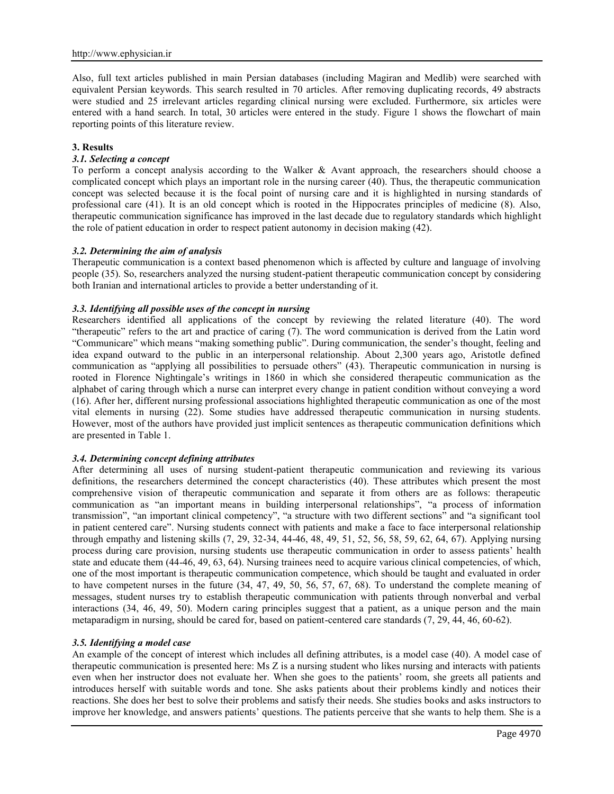Also, full text articles published in main Persian databases (including Magiran and Medlib) were searched with equivalent Persian keywords. This search resulted in 70 articles. After removing duplicating records, 49 abstracts were studied and 25 irrelevant articles regarding clinical nursing were excluded. Furthermore, six articles were entered with a hand search. In total, 30 articles were entered in the study. Figure 1 shows the flowchart of main reporting points of this literature review.

### **3. Results**

### *3.1. Selecting a concept*

To perform a concept analysis according to the Walker & Avant approach, the researchers should choose a complicated concept which plays an important role in the nursing career (40). Thus, the therapeutic communication concept was selected because it is the focal point of nursing care and it is highlighted in nursing standards of professional care (41). It is an old concept which is rooted in the Hippocrates principles of medicine (8). Also, therapeutic communication significance has improved in the last decade due to regulatory standards which highlight the role of patient education in order to respect patient autonomy in decision making (42).

### *3.2. Determining the aim of analysis*

Therapeutic communication is a context based phenomenon which is affected by culture and language of involving people (35). So, researchers analyzed the nursing student-patient therapeutic communication concept by considering both Iranian and international articles to provide a better understanding of it.

### *3.3. Identifying all possible uses of the concept in nursing*

Researchers identified all applications of the concept by reviewing the related literature (40). The word "therapeutic" refers to the art and practice of caring (7). The word communication is derived from the Latin word "Communicare" which means "making something public". During communication, the sender's thought, feeling and idea expand outward to the public in an interpersonal relationship. About 2,300 years ago, Aristotle defined communication as "applying all possibilities to persuade others" (43). Therapeutic communication in nursing is rooted in Florence Nightingale's writings in 1860 in which she considered therapeutic communication as the alphabet of caring through which a nurse can interpret every change in patient condition without conveying a word (16). After her, different nursing professional associations highlighted therapeutic communication as one of the most vital elements in nursing (22). Some studies have addressed therapeutic communication in nursing students. However, most of the authors have provided just implicit sentences as therapeutic communication definitions which are presented in Table 1.

#### *3.4. Determining concept defining attributes*

After determining all uses of nursing student-patient therapeutic communication and reviewing its various definitions, the researchers determined the concept characteristics (40). These attributes which present the most comprehensive vision of therapeutic communication and separate it from others are as follows: therapeutic communication as "an important means in building interpersonal relationships", "a process of information transmission", "an important clinical competency", "a structure with two different sections" and "a significant tool in patient centered care". Nursing students connect with patients and make a face to face interpersonal relationship through empathy and listening skills (7, 29, 32-34, 44-46, 48, 49, 51, 52, 56, 58, 59, 62, 64, 67). Applying nursing process during care provision, nursing students use therapeutic communication in order to assess patients' health state and educate them (44-46, 49, 63, 64). Nursing trainees need to acquire various clinical competencies, of which, one of the most important is therapeutic communication competence, which should be taught and evaluated in order to have competent nurses in the future (34, 47, 49, 50, 56, 57, 67, 68). To understand the complete meaning of messages, student nurses try to establish therapeutic communication with patients through nonverbal and verbal interactions (34, 46, 49, 50). Modern caring principles suggest that a patient, as a unique person and the main metaparadigm in nursing, should be cared for, based on patient-centered care standards (7, 29, 44, 46, 60-62).

#### *3.5. Identifying a model case*

An example of the concept of interest which includes all defining attributes, is a model case (40). A model case of therapeutic communication is presented here: Ms Z is a nursing student who likes nursing and interacts with patients even when her instructor does not evaluate her. When she goes to the patients' room, she greets all patients and introduces herself with suitable words and tone. She asks patients about their problems kindly and notices their reactions. She does her best to solve their problems and satisfy their needs. She studies books and asks instructors to improve her knowledge, and answers patients' questions. The patients perceive that she wants to help them. She is a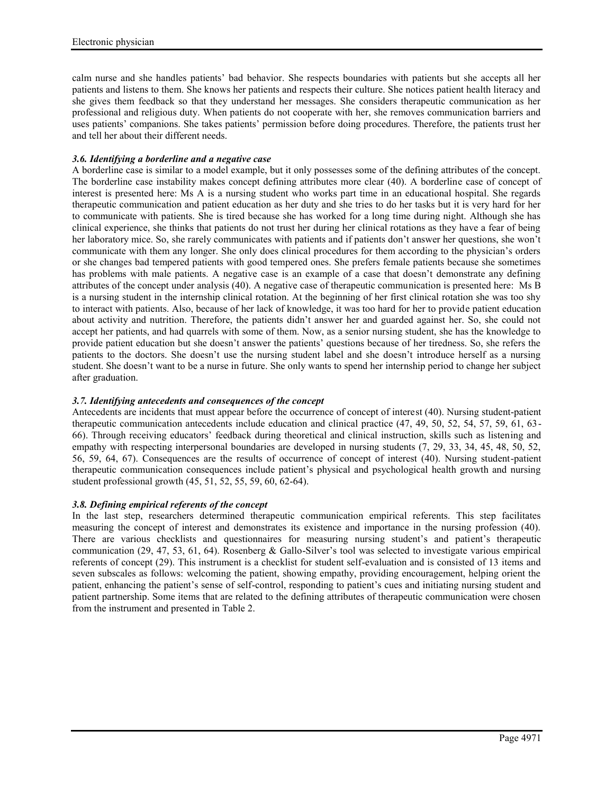calm nurse and she handles patients' bad behavior. She respects boundaries with patients but she accepts all her patients and listens to them. She knows her patients and respects their culture. She notices patient health literacy and she gives them feedback so that they understand her messages. She considers therapeutic communication as her professional and religious duty. When patients do not cooperate with her, she removes communication barriers and uses patients' companions. She takes patients' permission before doing procedures. Therefore, the patients trust her and tell her about their different needs.

## *3.6. Identifying a borderline and a negative case*

A borderline case is similar to a model example, but it only possesses some of the defining attributes of the concept. The borderline case instability makes concept defining attributes more clear (40). A borderline case of concept of interest is presented here: Ms A is a nursing student who works part time in an educational hospital. She regards therapeutic communication and patient education as her duty and she tries to do her tasks but it is very hard for her to communicate with patients. She is tired because she has worked for a long time during night. Although she has clinical experience, she thinks that patients do not trust her during her clinical rotations as they have a fear of being her laboratory mice. So, she rarely communicates with patients and if patients don't answer her questions, she won't communicate with them any longer. She only does clinical procedures for them according to the physician's orders or she changes bad tempered patients with good tempered ones. She prefers female patients because she sometimes has problems with male patients. A negative case is an example of a case that doesn't demonstrate any defining attributes of the concept under analysis (40). A negative case of therapeutic communication is presented here: Ms B is a nursing student in the internship clinical rotation. At the beginning of her first clinical rotation she was too shy to interact with patients. Also, because of her lack of knowledge, it was too hard for her to provide patient education about activity and nutrition. Therefore, the patients didn't answer her and guarded against her. So, she could not accept her patients, and had quarrels with some of them. Now, as a senior nursing student, she has the knowledge to provide patient education but she doesn't answer the patients' questions because of her tiredness. So, she refers the patients to the doctors. She doesn't use the nursing student label and she doesn't introduce herself as a nursing student. She doesn't want to be a nurse in future. She only wants to spend her internship period to change her subject after graduation.

# *3.7. Identifying antecedents and consequences of the concept*

Antecedents are incidents that must appear before the occurrence of concept of interest (40). Nursing student-patient therapeutic communication antecedents include education and clinical practice (47, 49, 50, 52, 54, 57, 59, 61, 63- 66). Through receiving educators' feedback during theoretical and clinical instruction, skills such as listening and empathy with respecting interpersonal boundaries are developed in nursing students (7, 29, 33, 34, 45, 48, 50, 52, 56, 59, 64, 67). Consequences are the results of occurrence of concept of interest (40). Nursing student-patient therapeutic communication consequences include patient's physical and psychological health growth and nursing student professional growth (45, 51, 52, 55, 59, 60, 62-64).

## *3.8. Defining empirical referents of the concept*

In the last step, researchers determined therapeutic communication empirical referents. This step facilitates measuring the concept of interest and demonstrates its existence and importance in the nursing profession (40). There are various checklists and questionnaires for measuring nursing student's and patient's therapeutic communication (29, 47, 53, 61, 64). Rosenberg & Gallo-Silver's tool was selected to investigate various empirical referents of concept (29). This instrument is a checklist for student self-evaluation and is consisted of 13 items and seven subscales as follows: welcoming the patient, showing empathy, providing encouragement, helping orient the patient, enhancing the patient's sense of self-control, responding to patient's cues and initiating nursing student and patient partnership. Some items that are related to the defining attributes of therapeutic communication were chosen from the instrument and presented in Table 2.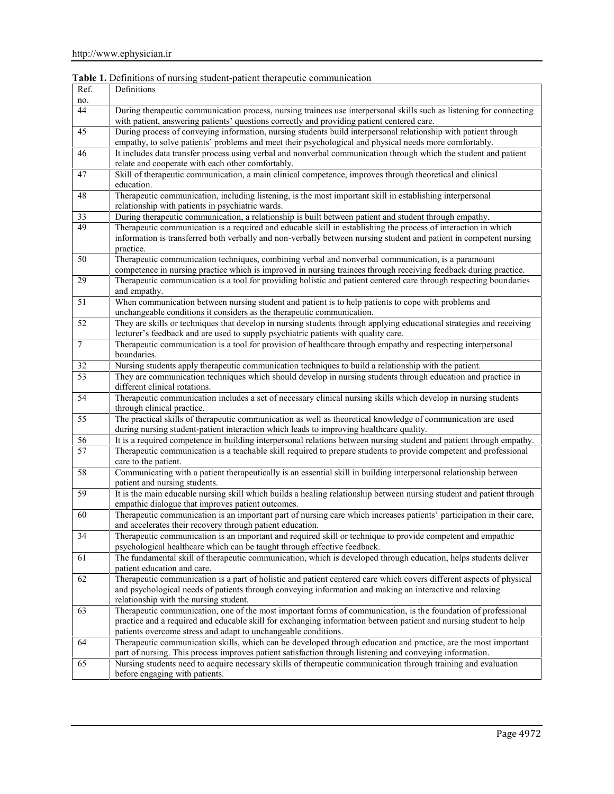| Ref.             | Definitions                                                                                                                                      |  |  |
|------------------|--------------------------------------------------------------------------------------------------------------------------------------------------|--|--|
| no.              |                                                                                                                                                  |  |  |
| 44               | During therapeutic communication process, nursing trainees use interpersonal skills such as listening for connecting                             |  |  |
|                  | with patient, answering patients' questions correctly and providing patient centered care.                                                       |  |  |
| 45               | During process of conveying information, nursing students build interpersonal relationship with patient through                                  |  |  |
|                  | empathy, to solve patients' problems and meet their psychological and physical needs more comfortably.                                           |  |  |
| 46               | It includes data transfer process using verbal and nonverbal communication through which the student and patient                                 |  |  |
|                  | relate and cooperate with each other comfortably.                                                                                                |  |  |
| 47               | Skill of therapeutic communication, a main clinical competence, improves through theoretical and clinical                                        |  |  |
|                  | education.                                                                                                                                       |  |  |
| 48               | Therapeutic communication, including listening, is the most important skill in establishing interpersonal                                        |  |  |
|                  | relationship with patients in psychiatric wards.                                                                                                 |  |  |
| 33               | During therapeutic communication, a relationship is built between patient and student through empathy.                                           |  |  |
| 49               | Therapeutic communication is a required and educable skill in establishing the process of interaction in which                                   |  |  |
|                  | information is transferred both verbally and non-verbally between nursing student and patient in competent nursing                               |  |  |
|                  | practice.                                                                                                                                        |  |  |
| 50               | Therapeutic communication techniques, combining verbal and nonverbal communication, is a paramount                                               |  |  |
|                  | competence in nursing practice which is improved in nursing trainees through receiving feedback during practice.                                 |  |  |
| 29               | Therapeutic communication is a tool for providing holistic and patient centered care through respecting boundaries                               |  |  |
|                  | and empathy.                                                                                                                                     |  |  |
| 51               | When communication between nursing student and patient is to help patients to cope with problems and                                             |  |  |
|                  | unchangeable conditions it considers as the therapeutic communication.                                                                           |  |  |
| 52               | They are skills or techniques that develop in nursing students through applying educational strategies and receiving                             |  |  |
|                  | lecturer's feedback and are used to supply psychiatric patients with quality care.                                                               |  |  |
| $\boldsymbol{7}$ | Therapeutic communication is a tool for provision of healthcare through empathy and respecting interpersonal                                     |  |  |
|                  | boundaries.                                                                                                                                      |  |  |
| 32               | Nursing students apply therapeutic communication techniques to build a relationship with the patient.                                            |  |  |
| 53               | They are communication techniques which should develop in nursing students through education and practice in                                     |  |  |
|                  | different clinical rotations.                                                                                                                    |  |  |
| 54               | Therapeutic communication includes a set of necessary clinical nursing skills which develop in nursing students                                  |  |  |
|                  | through clinical practice.                                                                                                                       |  |  |
| 55               | The practical skills of therapeutic communication as well as theoretical knowledge of communication are used                                     |  |  |
|                  | during nursing student-patient interaction which leads to improving healthcare quality.                                                          |  |  |
| 56               | It is a required competence in building interpersonal relations between nursing student and patient through empathy.                             |  |  |
| 57               | Therapeutic communication is a teachable skill required to prepare students to provide competent and professional                                |  |  |
|                  | care to the patient.                                                                                                                             |  |  |
| 58               | Communicating with a patient therapeutically is an essential skill in building interpersonal relationship between                                |  |  |
|                  | patient and nursing students.                                                                                                                    |  |  |
| 59               | It is the main educable nursing skill which builds a healing relationship between nursing student and patient through                            |  |  |
|                  | empathic dialogue that improves patient outcomes.                                                                                                |  |  |
| 60               | Therapeutic communication is an important part of nursing care which increases patients' participation in their care,                            |  |  |
|                  | and accelerates their recovery through patient education.                                                                                        |  |  |
| 34               | Therapeutic communication is an important and required skill or technique to provide competent and empathic                                      |  |  |
|                  | psychological healthcare which can be taught through effective feedback.                                                                         |  |  |
| 61               | The fundamental skill of therapeutic communication, which is developed through education, helps students deliver                                 |  |  |
|                  | patient education and care.                                                                                                                      |  |  |
| 62               | Therapeutic communication is a part of holistic and patient centered care which covers different aspects of physical                             |  |  |
|                  | and psychological needs of patients through conveying information and making an interactive and relaxing                                         |  |  |
|                  | relationship with the nursing student.                                                                                                           |  |  |
| 63               | Therapeutic communication, one of the most important forms of communication, is the foundation of professional                                   |  |  |
|                  | practice and a required and educable skill for exchanging information between patient and nursing student to help                                |  |  |
|                  | patients overcome stress and adapt to unchangeable conditions.                                                                                   |  |  |
| 64               | Therapeutic communication skills, which can be developed through education and practice, are the most important                                  |  |  |
|                  | part of nursing. This process improves patient satisfaction through listening and conveying information.                                         |  |  |
|                  |                                                                                                                                                  |  |  |
| 65               | Nursing students need to acquire necessary skills of therapeutic communication through training and evaluation<br>before engaging with patients. |  |  |

**Table 1.** Definitions of nursing student-patient therapeutic communication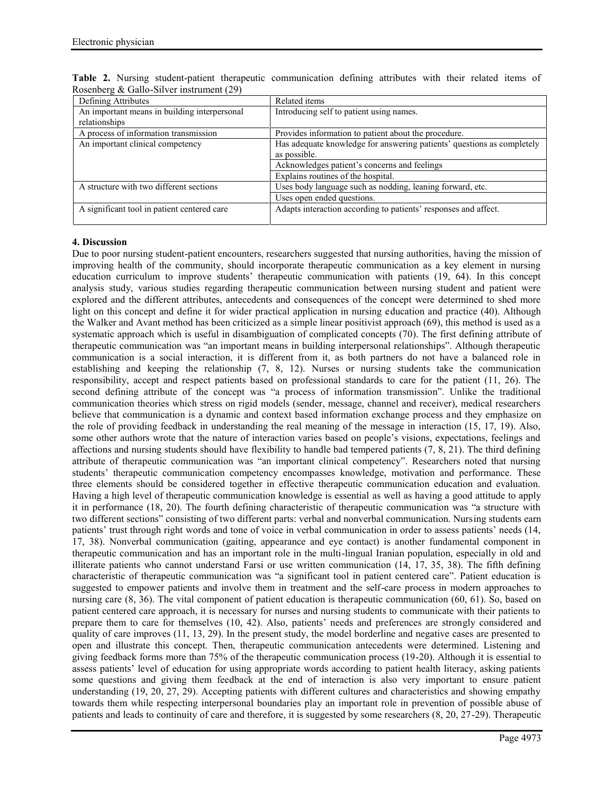| Defining Attributes                          | Related items                                                          |
|----------------------------------------------|------------------------------------------------------------------------|
| An important means in building interpersonal | Introducing self to patient using names.                               |
| relationships                                |                                                                        |
| A process of information transmission        | Provides information to patient about the procedure.                   |
| An important clinical competency             | Has adequate knowledge for answering patients' questions as completely |
|                                              | as possible.                                                           |
|                                              | Acknowledges patient's concerns and feelings                           |
|                                              | Explains routines of the hospital.                                     |
| A structure with two different sections      | Uses body language such as nodding, leaning forward, etc.              |
|                                              | Uses open ended questions.                                             |
| A significant tool in patient centered care  | Adapts interaction according to patients' responses and affect.        |
|                                              |                                                                        |

**Table 2.** Nursing student-patient therapeutic communication defining attributes with their related items of Rosenberg & Gallo-Silver instrument (29)

## **4. Discussion**

Due to poor nursing student-patient encounters, researchers suggested that nursing authorities, having the mission of improving health of the community, should incorporate therapeutic communication as a key element in nursing education curriculum to improve students' therapeutic communication with patients (19, 64). In this concept analysis study, various studies regarding therapeutic communication between nursing student and patient were explored and the different attributes, antecedents and consequences of the concept were determined to shed more light on this concept and define it for wider practical application in nursing education and practice (40). Although the Walker and Avant method has been criticized as a simple linear positivist approach (69), this method is used as a systematic approach which is useful in disambiguation of complicated concepts (70). The first defining attribute of therapeutic communication was "an important means in building interpersonal relationships". Although therapeutic communication is a social interaction, it is different from it, as both partners do not have a balanced role in establishing and keeping the relationship (7, 8, 12). Nurses or nursing students take the communication responsibility, accept and respect patients based on professional standards to care for the patient (11, 26). The second defining attribute of the concept was "a process of information transmission". Unlike the traditional communication theories which stress on rigid models (sender, message, channel and receiver), medical researchers believe that communication is a dynamic and context based information exchange process and they emphasize on the role of providing feedback in understanding the real meaning of the message in interaction (15, 17, 19). Also, some other authors wrote that the nature of interaction varies based on people's visions, expectations, feelings and affections and nursing students should have flexibility to handle bad tempered patients (7, 8, 21). The third defining attribute of therapeutic communication was "an important clinical competency". Researchers noted that nursing students' therapeutic communication competency encompasses knowledge, motivation and performance. These three elements should be considered together in effective therapeutic communication education and evaluation. Having a high level of therapeutic communication knowledge is essential as well as having a good attitude to apply it in performance (18, 20). The fourth defining characteristic of therapeutic communication was "a structure with two different sections" consisting of two different parts: verbal and nonverbal communication. Nursing students earn patients' trust through right words and tone of voice in verbal communication in order to assess patients' needs (14, 17, 38). Nonverbal communication (gaiting, appearance and eye contact) is another fundamental component in therapeutic communication and has an important role in the multi-lingual Iranian population, especially in old and illiterate patients who cannot understand Farsi or use written communication (14, 17, 35, 38). The fifth defining characteristic of therapeutic communication was "a significant tool in patient centered care". Patient education is suggested to empower patients and involve them in treatment and the self-care process in modern approaches to nursing care  $(8, 36)$ . The vital component of patient education is therapeutic communication  $(60, 61)$ . So, based on patient centered care approach, it is necessary for nurses and nursing students to communicate with their patients to prepare them to care for themselves (10, 42). Also, patients' needs and preferences are strongly considered and quality of care improves (11, 13, 29). In the present study, the model borderline and negative cases are presented to open and illustrate this concept. Then, therapeutic communication antecedents were determined. Listening and giving feedback forms more than 75% of the therapeutic communication process (19-20). Although it is essential to assess patients' level of education for using appropriate words according to patient health literacy, asking patients some questions and giving them feedback at the end of interaction is also very important to ensure patient understanding (19, 20, 27, 29). Accepting patients with different cultures and characteristics and showing empathy towards them while respecting interpersonal boundaries play an important role in prevention of possible abuse of patients and leads to continuity of care and therefore, it is suggested by some researchers (8, 20, 27-29). Therapeutic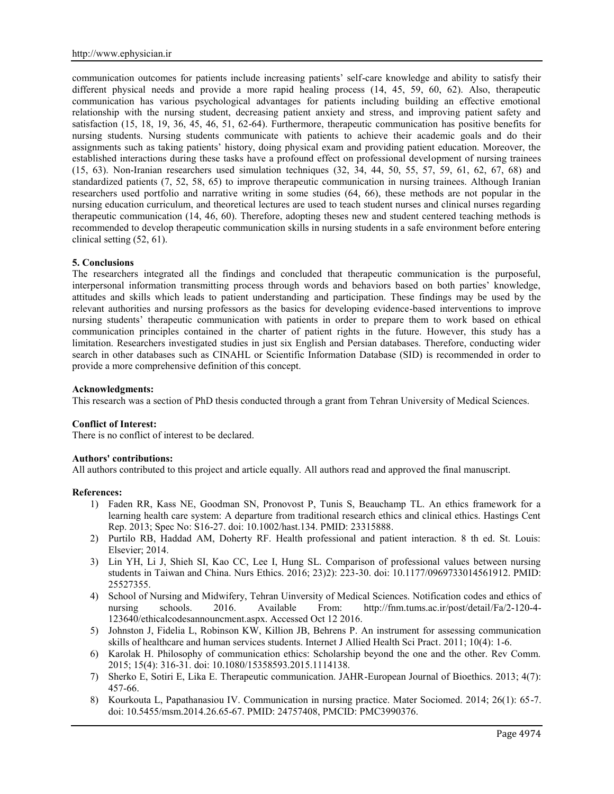communication outcomes for patients include increasing patients' self-care knowledge and ability to satisfy their different physical needs and provide a more rapid healing process (14, 45, 59, 60, 62). Also, therapeutic communication has various psychological advantages for patients including building an effective emotional relationship with the nursing student, decreasing patient anxiety and stress, and improving patient safety and satisfaction (15, 18, 19, 36, 45, 46, 51, 62-64). Furthermore, therapeutic communication has positive benefits for nursing students. Nursing students communicate with patients to achieve their academic goals and do their assignments such as taking patients' history, doing physical exam and providing patient education. Moreover, the established interactions during these tasks have a profound effect on professional development of nursing trainees (15, 63). Non-Iranian researchers used simulation techniques (32, 34, 44, 50, 55, 57, 59, 61, 62, 67, 68) and standardized patients (7, 52, 58, 65) to improve therapeutic communication in nursing trainees. Although Iranian researchers used portfolio and narrative writing in some studies (64, 66), these methods are not popular in the nursing education curriculum, and theoretical lectures are used to teach student nurses and clinical nurses regarding therapeutic communication (14, 46, 60). Therefore, adopting theses new and student centered teaching methods is recommended to develop therapeutic communication skills in nursing students in a safe environment before entering clinical setting (52, 61).

#### **5. Conclusions**

The researchers integrated all the findings and concluded that therapeutic communication is the purposeful, interpersonal information transmitting process through words and behaviors based on both parties' knowledge, attitudes and skills which leads to patient understanding and participation. These findings may be used by the relevant authorities and nursing professors as the basics for developing evidence-based interventions to improve nursing students' therapeutic communication with patients in order to prepare them to work based on ethical communication principles contained in the charter of patient rights in the future. However, this study has a limitation. Researchers investigated studies in just six English and Persian databases. Therefore, conducting wider search in other databases such as CINAHL or Scientific Information Database (SID) is recommended in order to provide a more comprehensive definition of this concept.

#### **Acknowledgments:**

This research was a section of PhD thesis conducted through a grant from Tehran University of Medical Sciences.

#### **Conflict of Interest:**

There is no conflict of interest to be declared.

#### **Authors' contributions:**

All authors contributed to this project and article equally. All authors read and approved the final manuscript.

#### **References:**

- 1) Faden RR, Kass NE, Goodman SN, Pronovost P, Tunis S, Beauchamp TL. An ethics framework for a learning health care system: A departure from traditional research ethics and clinical ethics. Hastings Cent Rep. 2013; Spec No: S16-27. doi: 10.1002/hast.134. PMID: 23315888.
- 2) Purtilo RB, Haddad AM, Doherty RF. Health professional and patient interaction. 8 th ed. St. Louis: Elsevier; 2014.
- 3) Lin YH, Li J, Shieh SI, Kao CC, Lee I, Hung SL. Comparison of professional values between nursing students in Taiwan and China. Nurs Ethics. 2016; 23)2): 223-30. doi: 10.1177/0969733014561912. PMID: 25527355.
- 4) School of Nursing and Midwifery, Tehran Uinversity of Medical Sciences. Notification codes and ethics of nursing schools. 2016. Available From: http://fnm.tums.ac.ir/post/detail/Fa/2-120-4nursing schools. 2016. Available From: http://fnm.tums.ac.ir/post/detail/Fa/2-120-4- 123640/ethicalcodesannouncment.aspx. Accessed Oct 12 2016.
- 5) Johnston J, Fidelia L, Robinson KW, Killion JB, Behrens P. An instrument for assessing communication skills of healthcare and human services students. Internet J Allied Health Sci Pract. 2011; 10(4): 1-6.
- 6) Karolak H. Philosophy of communication ethics: Scholarship beyond the one and the other. Rev Comm. 2015; 15(4): 316-31. doi: 10.1080/15358593.2015.1114138.
- 7) Sherko E, Sotiri E, Lika E. Therapeutic communication. JAHR-European Journal of Bioethics. 2013; 4(7): 457-66.
- 8) Kourkouta L, Papathanasiou IV. Communication in nursing practice. Mater Sociomed. 2014; 26(1): 65-7. doi: 10.5455/msm.2014.26.65-67. PMID: 24757408, PMCID: PMC3990376.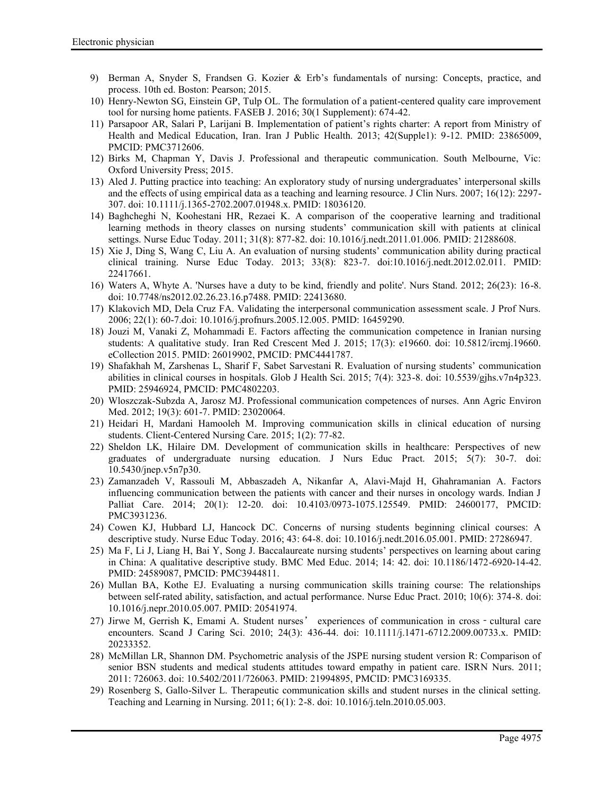- 9) Berman A, Snyder S, Frandsen G. Kozier & Erb's fundamentals of nursing: Concepts, practice, and process. 10th ed. Boston: Pearson; 2015.
- 10) Henry-Newton SG, Einstein GP, Tulp OL. The formulation of a patient-centered quality care improvement tool for nursing home patients. FASEB J. 2016; 30(1 Supplement): 674-42.
- 11) Parsapoor AR, Salari P, Larijani B. Implementation of patient's rights charter: A report from Ministry of Health and Medical Education, Iran. Iran J Public Health. 2013; 42(Supple1): 9-12. PMID: 23865009, PMCID: PMC3712606.
- 12) Birks M, Chapman Y, Davis J. Professional and therapeutic communication. South Melbourne, Vic: Oxford University Press; 2015.
- 13) Aled J. Putting practice into teaching: An exploratory study of nursing undergraduates' interpersonal skills and the effects of using empirical data as a teaching and learning resource. J Clin Nurs. 2007; 16(12): 2297- 307. doi: 10.1111/j.1365-2702.2007.01948.x. PMID: 18036120.
- 14) Baghcheghi N, Koohestani HR, Rezaei K. A comparison of the cooperative learning and traditional learning methods in theory classes on nursing students' communication skill with patients at clinical settings. Nurse Educ Today. 2011; 31(8): 877-82. doi: 10.1016/j.nedt.2011.01.006. PMID: 21288608.
- 15) Xie J, Ding S, Wang C, Liu A. An evaluation of nursing students' communication ability during practical clinical training. Nurse Educ Today. 2013; 33(8): 823-7. doi:10.1016/j.nedt.2012.02.011. PMID: 22417661.
- 16) Waters A, Whyte A. 'Nurses have a duty to be kind, friendly and polite'. Nurs Stand. 2012; 26(23): 16-8. doi: 10.7748/ns2012.02.26.23.16.p7488. PMID: 22413680.
- 17) Klakovich MD, Dela Cruz FA. Validating the interpersonal communication assessment scale. J Prof Nurs. 2006; 22(1): 60-7.doi: 10.1016/j.profnurs.2005.12.005. PMID: 16459290.
- 18) Jouzi M, Vanaki Z, Mohammadi E. Factors affecting the communication competence in Iranian nursing students: A qualitative study. Iran Red Crescent Med J. 2015; 17(3): e19660. doi: 10.5812/ircmj.19660. eCollection 2015. PMID: 26019902, PMCID: PMC4441787.
- 19) Shafakhah M, Zarshenas L, Sharif F, Sabet Sarvestani R. Evaluation of nursing students' communication abilities in clinical courses in hospitals. Glob J Health Sci. 2015; 7(4): 323-8. doi: 10.5539/gjhs.v7n4p323. PMID: 25946924, PMCID: PMC4802203.
- 20) Wloszczak-Subzda A, Jarosz MJ. Professional communication competences of nurses. Ann Agric Environ Med. 2012; 19(3): 601-7. PMID: 23020064.
- 21) Heidari H, Mardani Hamooleh M. Improving communication skills in clinical education of nursing students. Client-Centered Nursing Care. 2015; 1(2): 77-82.
- 22) Sheldon LK, Hilaire DM. Development of communication skills in healthcare: Perspectives of new graduates of undergraduate nursing education. J Nurs Educ Pract. 2015; 5(7): 30-7. doi: 10.5430/jnep.v5n7p30.
- 23) Zamanzadeh V, Rassouli M, Abbaszadeh A, Nikanfar A, Alavi-Majd H, Ghahramanian A. Factors influencing communication between the patients with cancer and their nurses in oncology wards. Indian J Palliat Care. 2014; 20(1): 12-20. doi: 10.4103/0973-1075.125549. PMID: 24600177, PMCID: PMC3931236.
- 24) Cowen KJ, Hubbard LJ, Hancock DC. Concerns of nursing students beginning clinical courses: A descriptive study. Nurse Educ Today. 2016; 43: 64-8. doi: 10.1016/j.nedt.2016.05.001. PMID: 27286947.
- 25) Ma F, Li J, Liang H, Bai Y, Song J. Baccalaureate nursing students' perspectives on learning about caring in China: A qualitative descriptive study. BMC Med Educ. 2014; 14: 42. doi: 10.1186/1472-6920-14-42. PMID: 24589087, PMCID: PMC3944811.
- 26) Mullan BA, Kothe EJ. Evaluating a nursing communication skills training course: The relationships between self-rated ability, satisfaction, and actual performance. Nurse Educ Pract. 2010; 10(6): 374-8. doi: 10.1016/j.nepr.2010.05.007. PMID: 20541974.
- 27) Jirwe M, Gerrish K, Emami A. Student nurses' experiences of communication in cross cultural care encounters. Scand J Caring Sci. 2010; 24(3): 436-44. doi: 10.1111/j.1471-6712.2009.00733.x. PMID: 20233352.
- 28) McMillan LR, Shannon DM. Psychometric analysis of the JSPE nursing student version R: Comparison of senior BSN students and medical students attitudes toward empathy in patient care. ISRN Nurs. 2011; 2011: 726063. doi: 10.5402/2011/726063. PMID: 21994895, PMCID: PMC3169335.
- 29) Rosenberg S, Gallo-Silver L. Therapeutic communication skills and student nurses in the clinical setting. Teaching and Learning in Nursing. 2011; 6(1): 2-8. doi: 10.1016/j.teln.2010.05.003.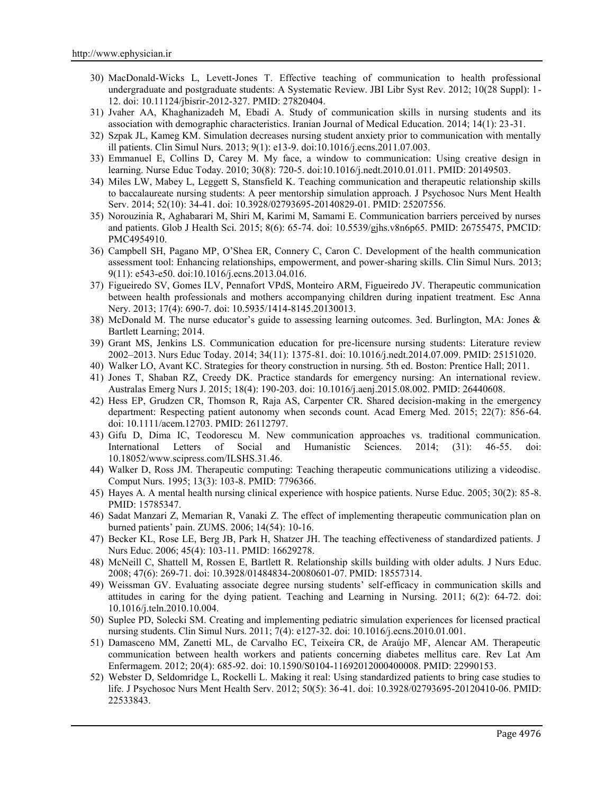- 30) MacDonald-Wicks L, Levett-Jones T. Effective teaching of communication to health professional undergraduate and postgraduate students: A Systematic Review. JBI Libr Syst Rev. 2012; 10(28 Suppl): 1- 12. doi: 10.11124/jbisrir-2012-327. PMID: 27820404.
- 31) Jvaher AA, Khaghanizadeh M, Ebadi A. Study of communication skills in nursing students and its association with demographic characteristics. Iranian Journal of Medical Education. 2014; 14(1): 23-31.
- 32) Szpak JL, Kameg KM. Simulation decreases nursing student anxiety prior to communication with mentally ill patients. Clin Simul Nurs. 2013; 9(1): e13-9. doi:10.1016/j.ecns.2011.07.003.
- 33) Emmanuel E, Collins D, Carey M. My face, a window to communication: Using creative design in learning. Nurse Educ Today. 2010; 30(8): 720-5. doi:10.1016/j.nedt.2010.01.011. PMID: 20149503.
- 34) Miles LW, Mabey L, Leggett S, Stansfield K. Teaching communication and therapeutic relationship skills to baccalaureate nursing students: A peer mentorship simulation approach. J Psychosoc Nurs Ment Health Serv. 2014; 52(10): 34-41. doi: 10.3928/02793695-20140829-01. PMID: 25207556.
- 35) Norouzinia R, Aghabarari M, Shiri M, Karimi M, Samami E. Communication barriers perceived by nurses and patients. Glob J Health Sci. 2015; 8(6): 65-74. doi: 10.5539/gjhs.v8n6p65. PMID: 26755475, PMCID: PMC4954910.
- 36) Campbell SH, Pagano MP, O'Shea ER, Connery C, Caron C. Development of the health communication assessment tool: Enhancing relationships, empowerment, and power-sharing skills. Clin Simul Nurs. 2013; 9(11): e543-e50. doi:10.1016/j.ecns.2013.04.016.
- 37) Figueiredo SV, Gomes ILV, Pennafort VPdS, Monteiro ARM, Figueiredo JV. Therapeutic communication between health professionals and mothers accompanying children during inpatient treatment. Esc Anna Nery. 2013; 17(4): 690-7. doi: 10.5935/1414-8145.20130013.
- 38) McDonald M. The nurse educator's guide to assessing learning outcomes. 3ed. Burlington, MA: Jones & Bartlett Learning; 2014.
- 39) Grant MS, Jenkins LS. Communication education for pre-licensure nursing students: Literature review 2002–2013. Nurs Educ Today. 2014; 34(11): 1375-81. doi: 10.1016/j.nedt.2014.07.009. PMID: 25151020.
- 40) Walker LO, Avant KC. Strategies for theory construction in nursing. 5th ed. Boston: Prentice Hall; 2011.
- 41) Jones T, Shaban RZ, Creedy DK. Practice standards for emergency nursing: An international review. Australas Emerg Nurs J. 2015; 18(4): 190-203. doi: 10.1016/j.aenj.2015.08.002. PMID: 26440608.
- 42) Hess EP, Grudzen CR, Thomson R, Raja AS, Carpenter CR. Shared decision-making in the emergency department: Respecting patient autonomy when seconds count. Acad Emerg Med. 2015; 22(7): 856-64. doi: 10.1111/acem.12703. PMID: 26112797.
- 43) Gifu D, Dima IC, Teodorescu M. New communication approaches vs. traditional communication. International Letters of Social and Humanistic Sciences. 2014; (31): 46-55. doi: 10.18052/www.scipress.com/ILSHS.31.46.
- 44) Walker D, Ross JM. Therapeutic computing: Teaching therapeutic communications utilizing a videodisc. Comput Nurs. 1995; 13(3): 103-8. PMID: 7796366.
- 45) Hayes A. A mental health nursing clinical experience with hospice patients. Nurse Educ. 2005; 30(2): 85-8. PMID: 15785347.
- 46) Sadat Manzari Z, Memarian R, Vanaki Z. The effect of implementing therapeutic communication plan on burned patients' pain. ZUMS. 2006; 14(54): 10-16.
- 47) Becker KL, Rose LE, Berg JB, Park H, Shatzer JH. The teaching effectiveness of standardized patients. J Nurs Educ. 2006; 45(4): 103-11. PMID: 16629278.
- 48) McNeill C, Shattell M, Rossen E, Bartlett R. Relationship skills building with older adults. J Nurs Educ. 2008; 47(6): 269-71. doi: 10.3928/01484834-20080601-07. PMID: 18557314.
- 49) Weissman GV. Evaluating associate degree nursing students' self-efficacy in communication skills and attitudes in caring for the dying patient. Teaching and Learning in Nursing. 2011; 6(2): 64-72. doi: 10.1016/j.teln.2010.10.004.
- 50) Suplee PD, Solecki SM. Creating and implementing pediatric simulation experiences for licensed practical nursing students. Clin Simul Nurs. 2011; 7(4): e127-32. doi: 10.1016/j.ecns.2010.01.001.
- 51) Damasceno MM, Zanetti ML, de Carvalho EC, Teixeira CR, de Araújo MF, Alencar AM. Therapeutic communication between health workers and patients concerning diabetes mellitus care. Rev Lat Am Enfermagem. 2012; 20(4): 685-92. doi: 10.1590/S0104-11692012000400008. PMID: 22990153.
- 52) Webster D, Seldomridge L, Rockelli L. Making it real: Using standardized patients to bring case studies to life. J Psychosoc Nurs Ment Health Serv. 2012; 50(5): 36-41. doi: 10.3928/02793695-20120410-06. PMID: 22533843.